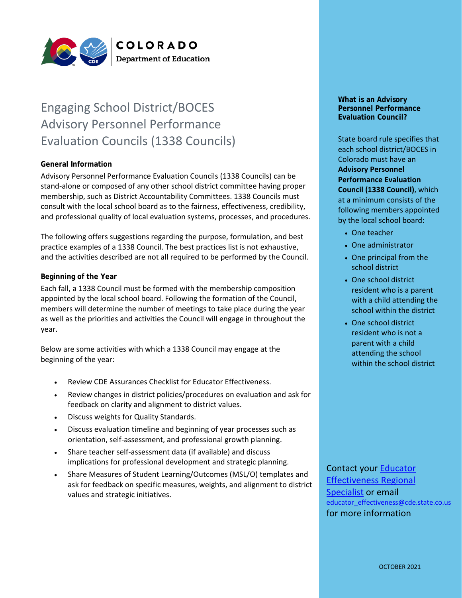

# Engaging School District/BOCES Advisory Personnel Performance Evaluation Councils (1338 Councils)

## **General Information**

Advisory Personnel Performance Evaluation Councils (1338 Councils) can be stand-alone or composed of any other school district committee having proper membership, such as District Accountability Committees. 1338 Councils must consult with the local school board as to the fairness, effectiveness, credibility, and professional quality of local evaluation systems, processes, and procedures.

The following offers suggestions regarding the purpose, formulation, and best practice examples of a 1338 Council. The best practices list is not exhaustive, and the activities described are not all required to be performed by the Council.

## **Beginning of the Year**

Each fall, a 1338 Council must be formed with the membership composition appointed by the local school board. Following the formation of the Council, members will determine the number of meetings to take place during the year as well as the priorities and activities the Council will engage in throughout the year.

Below are some activities with which a 1338 Council may engage at the beginning of the year:

- Review CDE Assurances Checklist for Educator Effectiveness.
- Review changes in district policies/procedures on evaluation and ask for feedback on clarity and alignment to district values.
- Discuss weights for Quality Standards.
- Discuss evaluation timeline and beginning of year processes such as orientation, self-assessment, and professional growth planning.
- Share teacher self-assessment data (if available) and discuss implications for professional development and strategic planning.
- Share Measures of Student Learning/Outcomes (MSL/O) templates and ask for feedback on specific measures, weights, and alignment to district values and strategic initiatives.

#### **What is an Advisory Personnel Performance Evaluation Council?**

State board rule specifies that each school district/BOCES in Colorado must have an **Advisory Personnel Performance Evaluation Council (1338 Council)**, which at a minimum consists of the following members appointed by the local school board:

- One teacher
- One administrator
- One principal from the school district
- One school district resident who is a parent with a child attending the school within the district
- One school district resident who is not a parent with a child attending the school within the school district

## Contact your [Educator](http://www.cde.state.co.us/educatoreffectiveness/ee-regions)  [Effectiveness Regional](http://www.cde.state.co.us/educatoreffectiveness/ee-regions)  [Specialist](http://www.cde.state.co.us/educatoreffectiveness/ee-regions) or email [educator\\_effectiveness@cde.state.co.us](mailto:educator_effectiveness@cde.state.co.us) for more information